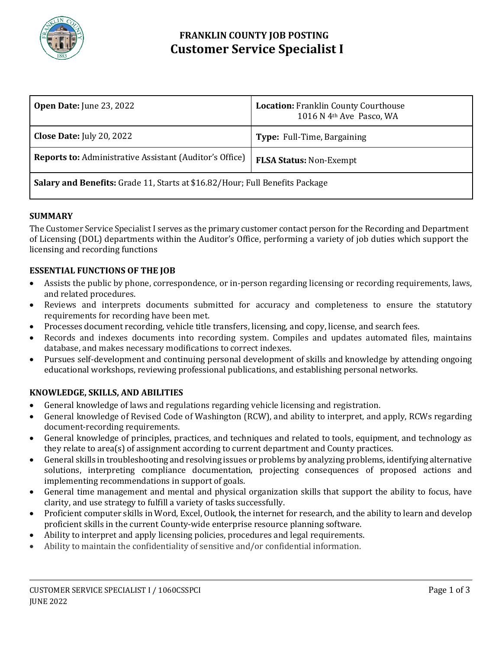

# **FRANKLIN COUNTY JOB POSTING Customer Service Specialist I**

| <b>Open Date:</b> June 23, 2022                                              | <b>Location: Franklin County Courthouse</b><br>1016 N 4 <sup>th</sup> Ave Pasco, WA |
|------------------------------------------------------------------------------|-------------------------------------------------------------------------------------|
| <b>Close Date:</b> July 20, 2022                                             | Type: Full-Time, Bargaining                                                         |
| <b>Reports to:</b> Administrative Assistant (Auditor's Office)               | <b>FLSA Status: Non-Exempt</b>                                                      |
| Salary and Benefits: Grade 11, Starts at \$16.82/Hour; Full Benefits Package |                                                                                     |

# **SUMMARY**

The Customer Service Specialist I serves as the primary customer contact person for the Recording and Department of Licensing (DOL) departments within the Auditor's Office, performing a variety of job duties which support the licensing and recording functions

# **ESSENTIAL FUNCTIONS OF THE JOB**

- Assists the public by phone, correspondence, or in-person regarding licensing or recording requirements, laws, and related procedures.
- Reviews and interprets documents submitted for accuracy and completeness to ensure the statutory requirements for recording have been met.
- Processes document recording, vehicle title transfers, licensing, and copy, license, and search fees.
- Records and indexes documents into recording system. Compiles and updates automated files, maintains database, and makes necessary modifications to correct indexes.
- Pursues self-development and continuing personal development of skills and knowledge by attending ongoing educational workshops, reviewing professional publications, and establishing personal networks.

# **KNOWLEDGE, SKILLS, AND ABILITIES**

- General knowledge of laws and regulations regarding vehicle licensing and registration.
- General knowledge of Revised Code of Washington (RCW), and ability to interpret, and apply, RCWs regarding document-recording requirements.
- General knowledge of principles, practices, and techniques and related to tools, equipment, and technology as they relate to area(s) of assignment according to current department and County practices.
- General skills in troubleshooting and resolving issues or problems by analyzing problems, identifying alternative solutions, interpreting compliance documentation, projecting consequences of proposed actions and implementing recommendations in support of goals.
- General time management and mental and physical organization skills that support the ability to focus, have clarity, and use strategy to fulfill a variety of tasks successfully.
- Proficient computer skills in Word, Excel, Outlook, the internet for research, and the ability to learn and develop proficient skills in the current County-wide enterprise resource planning software.
- Ability to interpret and apply licensing policies, procedures and legal requirements.
- Ability to maintain the confidentiality of sensitive and/or confidential information.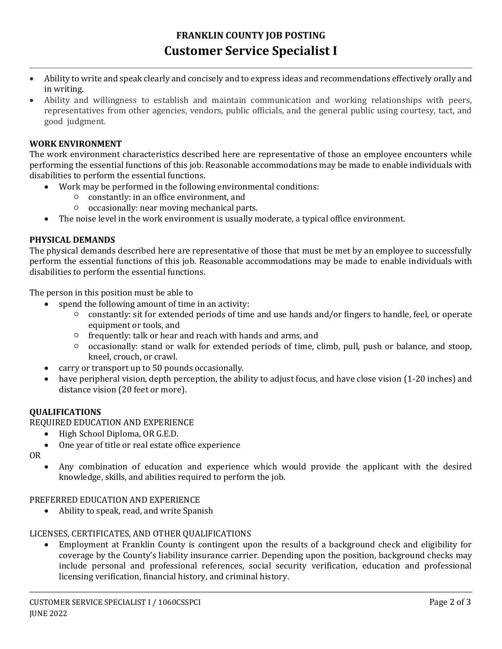- Ability to write and speak clearly and concisely and to express ideas and recommendations effectively orally and in writing.
- Ability and willingness to establish and maintain communication and working relationships with peers, representatives from other agencies, vendors, public officials, and the general public using courtesy, tact, and good judgment.

# **WORK ENVIRONMENT**

The work environment characteristics described here are representative of those an employee encounters while performing the essential functions of this job. Reasonable accommodations may be made to enable individuals with disabilities to perform the essential functions.

- Work may be performed in the following environmental conditions:
	- constantly: in an office environment, and
	- occasionally: near moving mechanical parts.
- The noise level in the work environment is usually moderate, a typical office environment.

## **PHYSICAL DEMANDS**

The physical demands described here are representative of those that must be met by an employee to successfully perform the essential functions of this job. Reasonable accommodations may be made to enable individuals with disabilities to perform the essential functions.

The person in this position must be able to

- spend the following amount of time in an activity:
	- constantly: sit for extended periods of time and use hands and/or fingers to handle, feel, or operate equipment or tools, and
	- frequently: talk or hear and reach with hands and arms, and
	- occasionally: stand or walk for extended periods of time, climb, pull, push or balance, and stoop, kneel, crouch, or crawl.
- carry or transport up to 50 pounds occasionally.
- have peripheral vision, depth perception, the ability to adjust focus, and have close vision (1-20 inches) and distance vision (20 feet or more).

### **QUALIFICATIONS**

REQUIRED EDUCATION AND EXPERIENCE

- High School Diploma, OR G.E.D.
- One year of title or real estate office experience
- OR
- Any combination of education and experience which would provide the applicant with the desired knowledge, skills, and abilities required to perform the job.

### PREFERRED EDUCATION AND EXPERIENCE

Ability to speak, read, and write Spanish

### LICENSES, CERTIFICATES, AND OTHER QUALIFICATIONS

 Employment at Franklin County is contingent upon the results of a background check and eligibility for coverage by the County's liability insurance carrier. Depending upon the position, background checks may include personal and professional references, social security verification, education and professional licensing verification, financial history, and criminal history.